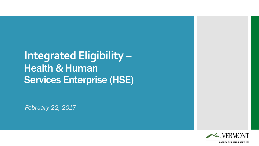**Integrated Eligibility – Health & Human** Services Enterprise (HSE)

*February 22, 2017*

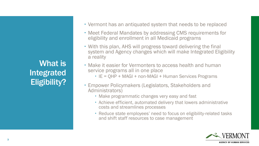What is Integrated Eligibility?

- Vermont has an antiquated system that needs to be replaced
- Meet Federal Mandates by addressing CMS requirements for eligibility and enrollment in all Medicaid programs
- With this plan, AHS will progress toward delivering the final system and Agency changes which will make Integrated Eligibility a reality
- Make it easier for Vermonters to access health and human service programs all in one place
	- IE = OHP + MAGI + non-MAGI + Human Services Programs
- Empower Policymakers (Legislators, Stakeholders and Administrators)
	- Make programmatic changes very easy and fast
	- Achieve efficient, automated delivery that lowers administrative costs and streamlines processes
	- Reduce state employees' need to focus on eligibility-related tasks and shift staff resources to case management

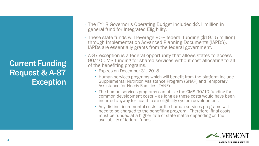Current Funding Request & A-87 Exception

- The FY18 Governor's Operating Budget included \$2.1 million in general fund for Integrated Eligibility.
- These state funds will leverage 90% federal funding (\$19.15 million) through Implementation Advanced Planning Documents (IAPDS). IAPDs are essentially grants from the federal government.
- A-87 exception is a federal opportunity that allows states to access 90/10 CMS funding for shared services without cost allocating to all of the benefiting programs.
	- Expires on December 31, 2018.
	- Human services programs which will benefit from the platform include Supplemental Nutrition Assistance Program (SNAP) and Temporary Assistance for Needy Families (TANF).
	- The human services programs can utilize the CMS 90/10 funding for common development costs – as long as these costs would have been incurred anyway for health care eligibility system development.
	- Any distinct incremental costs for the human services programs will need to be charged to the benefiting program. Therefore, final costs must be funded at a higher rate of state match depending on the availability of federal funds.

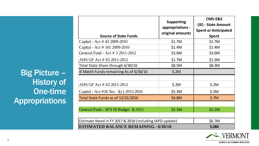| <b>Source of State Funds</b>                            | <b>Supporting</b><br>appropriations -<br>original amounts | <b>CMS-E&amp;E</b><br>(IE) - State Amount<br><b>Spent or Anticipated</b><br><b>Spent</b> |  |  |  |  |  |
|---------------------------------------------------------|-----------------------------------------------------------|------------------------------------------------------------------------------------------|--|--|--|--|--|
| Capital - Act # 43 2009-2010                            | \$1.7M                                                    | \$1.7M                                                                                   |  |  |  |  |  |
| Capital - Act # 161 2009-2010                           | \$1.4M                                                    | \$1.4M                                                                                   |  |  |  |  |  |
| General Fund - Act # 3 2011-2012                        | \$3.6M                                                    | \$3.6M                                                                                   |  |  |  |  |  |
| AHS GF Act # 63 2011-2012                               | \$1.7M                                                    | \$1.5M                                                                                   |  |  |  |  |  |
| Total State Share through 6/30/16                       | \$8.5M                                                    | \$8.3M                                                                                   |  |  |  |  |  |
| IE Match Funds remaining As of 6/30/16                  | \$.2M                                                     |                                                                                          |  |  |  |  |  |
|                                                         |                                                           |                                                                                          |  |  |  |  |  |
| AHS GF Act # 63 2011-2012                               | \$.2M                                                     | \$.2M                                                                                    |  |  |  |  |  |
| Capital - Act #26 Sec. 3(c) 2015-2016                   | \$5.3M                                                    | \$.5M                                                                                    |  |  |  |  |  |
| Total State Funds as of 12/31/2016                      | \$4.8M                                                    | \$.7M                                                                                    |  |  |  |  |  |
|                                                         |                                                           |                                                                                          |  |  |  |  |  |
| General Fund - SFY18 Budget B.1011                      | \$2.1M                                                    | \$2.1M                                                                                   |  |  |  |  |  |
|                                                         |                                                           |                                                                                          |  |  |  |  |  |
| Estimate Need in FY 2017 & 2018 (including IAPD update) | \$6.7M                                                    |                                                                                          |  |  |  |  |  |
| <b>ESTIMATED BALANCE REMAINING - 6/30/18</b>            | \$.0M                                                     |                                                                                          |  |  |  |  |  |



Big Picture – History of One-time Appropriations

**AGENCY OF HUMAN SERVICES**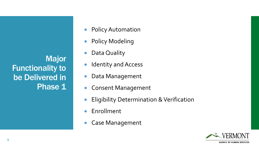Major Functionality to be Delivered in Phase 1

- **Policy Automation**
- **Policy Modeling**
- Data Quality
- **Identity and Access**
- Data Management
- Consent Management
- **Eligibility Determination & Verification**
- Enrollment
- Case Management

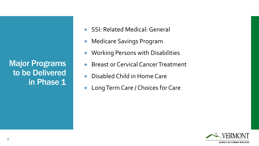Major Programs to be Delivered in Phase 1

- SSI: Related Medical: General
- **Medicare Savings Program**
- Working Persons with Disabilities
- Breast or Cervical Cancer Treatment
- Disabled Child in Home Care
- **Long Term Care / Choices for Care**

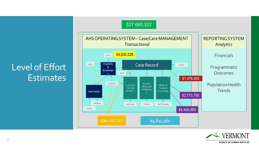## Level of Effort **Estimates**





## **7**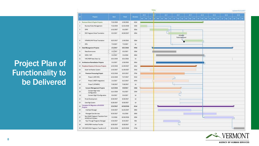## Project Plan of Functionality to be Delivered

| o               | Projects                                                 | Store.     | Finish.    | Duration     | oral |    | arur.                        | ass. |                          | <b>DELP</b> | <b>GLUE</b> | ar u | ar ar | <b>GKJK</b> |
|-----------------|----------------------------------------------------------|------------|------------|--------------|------|----|------------------------------|------|--------------------------|-------------|-------------|------|-------|-------------|
|                 |                                                          |            |            |              |      | 15 | **************************** |      |                          |             |             |      |       |             |
|                 | I Business Rules & Engine Projects                       | 7/22/2016  | 2/19/2018  | 4124         |      |    |                              |      |                          |             |             |      |       |             |
| $\mathbf{z}$    | Business Rules Management                                | 7/22/2016  | 12/22/2016 | 1104         |      |    |                              |      |                          |             |             |      |       |             |
| 3               | OPM                                                      | 1/12/2017  | 6/1/2017   | 1014         |      |    | -                            |      |                          |             |             |      |       |             |
| $\ddot{ }$      | ESD Programs Rules Translation                           | 6/2/2017   | 10/19/2017 | 1004         |      |    |                              |      |                          |             |             |      |       |             |
|                 |                                                          |            |            |              |      |    |                              |      | VPHARM<br>Rules Apploved |             |             |      |       |             |
| s.              | VPHARM/HVP Rules Translation                             | 10/3/2017  | 2/19/2018  | 100d         |      |    |                              |      |                          |             |             |      |       |             |
| $\mathcal{I}$   | OFA                                                      | 7/3/2017   | 7/3/2017   | 16           |      |    |                              |      |                          |             |             |      |       |             |
| ٠               | <b>Data Management Projects</b>                          | 2/1/2017   | 10/1/2018  | 4344         |      | V. |                              |      |                          |             |             |      |       |             |
| ٠               | Data Governance                                          | 2/1/2017   | 8/1/2017   | 1306         |      |    |                              |      |                          |             |             |      |       |             |
| 10              | MDM / MPI                                                | 3/1/2017   | 3/1/2018   | 2624         |      |    |                              |      |                          |             |             |      |       |             |
| 11              | VHC/HSEP Data Clean Up                                   | 10/1/2018  | 10/1/2018  | 16.          |      |    |                              |      |                          |             |             |      |       |             |
| 12              | <b>Architecture Remediation Projects</b>                 | 3/1/2017   | 2/28/2018  | 2614         |      |    |                              |      |                          |             |             |      |       |             |
| 13              | Peripheral Systems & Services Projects                   | 4/22/2016  | 12/29/2017 | 4414         |      |    |                              |      |                          |             |             |      |       |             |
| 14              | Asset Verification System                                | 1/13/2017  | 12/29/2017 | 251d         |      |    |                              |      |                          |             |             |      |       |             |
| 15              | <b>Premium Processing Project</b>                        | 4/22/2016  | 10/3/2017  | <b>\$784</b> |      |    |                              |      |                          |             |             |      |       |             |
| 16              | Phase 1 (WEX DDI)                                        | 4/22/2016  | 7/17/2017  | 5224         |      |    |                              |      |                          |             |             |      |       |             |
| 17              | Phase 2 (HSEP Integration)                               | 2/1/2017   | 11/2/2017  | 1974         |      |    |                              |      |                          |             |             |      |       |             |
| 15              | Phase 3 (VPHARM)                                         | 7/18/2017  | 7/18/2017  | 14           |      |    |                              |      |                          |             |             |      |       |             |
| 19 <sup>°</sup> | <b>Consent Management Projects</b>                       | 11/1/2016  | 9/4/2017   | 2204         |      |    |                              |      |                          |             |             |      |       |             |
| 20              | Consent Mgt Initial<br>Configuration                     | 11/1/2016  | 9/1/2017   | 2194         |      |    |                              |      |                          |             |             |      |       |             |
| 21              | Consent Mgt IE Configuration.                            | 9/4/2017   | 9/4/2017   | 16           |      |    |                              |      |                          |             |             |      |       |             |
| 22              | Portal Development                                       | 8/28/2017  | 8/28/2017  | 16           |      |    |                              |      |                          |             |             |      |       |             |
| 23              | Case Mgt System                                          | 8/28/2017  | 8/28/2017  | 1d           |      |    |                              |      |                          |             |             |      |       |             |
| 24              | Complete HC Migration off ACCESS<br>Projects             | 3/15/2017  | 10/10/2018 | 4114         |      |    |                              |      |                          |             |             |      |       |             |
| 25              | Interface Manager                                        | 3/15/2017  | 11/21/2017 | 180d         |      |    |                              |      |                          |             |             |      |       |             |
| 26              | Managed Care Services                                    | 9/25/2017  | 6/1/2018   | 1806         |      |    |                              |      |                          |             |             |      |       |             |
| 27              | Nan-MAGI Programs Transition from<br>ACCESS to IE System | 3/2/2018   | 10/10/2018 | 159d         |      |    |                              |      |                          |             |             |      |       |             |
| 28              | Pass Through Programs Manager                            | 4/24/2017  | 8/25/2017  | 90d          |      |    |                              |      | ш                        |             |             |      |       |             |
| 29              | MMIL/PBM Interface Transfer                              | 8/28/2017  | 8/28/2017  | 16           |      |    |                              |      |                          |             |             |      |       |             |
|                 | 30 VHC QHP/MCA Programs Transfer to IE                   | 10/11/2018 | 10/23/2019 | 270d         |      |    |                              |      |                          |             |             |      |       |             |